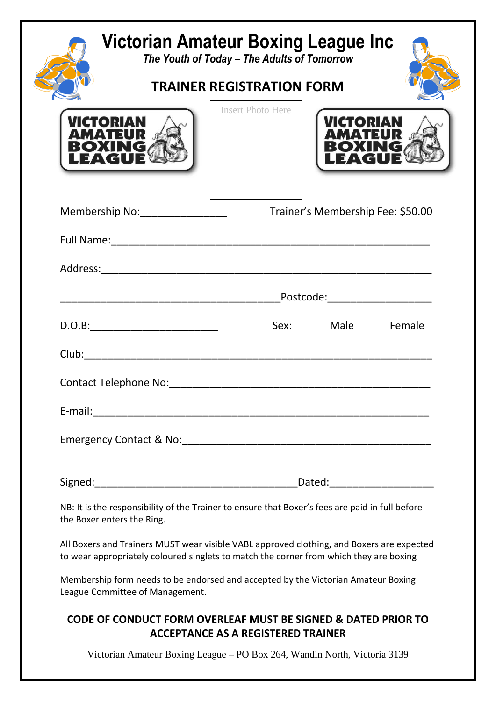|                            | Victorian Amateur Boxing League Inc<br>The Youth of Today - The Adults of Tomorrow<br><b>TRAINER REGISTRATION FORM</b> |                                                                                                                                                                                     |                                   |        |  |
|----------------------------|------------------------------------------------------------------------------------------------------------------------|-------------------------------------------------------------------------------------------------------------------------------------------------------------------------------------|-----------------------------------|--------|--|
|                            |                                                                                                                        |                                                                                                                                                                                     |                                   |        |  |
| VICTORI                    |                                                                                                                        | <b>Insert Photo Here</b>                                                                                                                                                            | VICTORIA                          |        |  |
|                            | Membership No: _________________                                                                                       |                                                                                                                                                                                     | Trainer's Membership Fee: \$50.00 |        |  |
|                            |                                                                                                                        |                                                                                                                                                                                     |                                   |        |  |
|                            |                                                                                                                        |                                                                                                                                                                                     |                                   |        |  |
|                            |                                                                                                                        | _Postcode:______________________                                                                                                                                                    |                                   |        |  |
|                            |                                                                                                                        |                                                                                                                                                                                     | Sex: Male                         | Female |  |
|                            |                                                                                                                        |                                                                                                                                                                                     |                                   |        |  |
|                            |                                                                                                                        |                                                                                                                                                                                     |                                   |        |  |
|                            |                                                                                                                        |                                                                                                                                                                                     |                                   |        |  |
|                            |                                                                                                                        |                                                                                                                                                                                     |                                   |        |  |
|                            |                                                                                                                        |                                                                                                                                                                                     |                                   |        |  |
|                            |                                                                                                                        |                                                                                                                                                                                     |                                   |        |  |
| the Boxer enters the Ring. |                                                                                                                        | NB: It is the responsibility of the Trainer to ensure that Boxer's fees are paid in full before                                                                                     |                                   |        |  |
|                            |                                                                                                                        | All Boxers and Trainers MUST wear visible VABL approved clothing, and Boxers are expected<br>to wear appropriately coloured singlets to match the corner from which they are boxing |                                   |        |  |
|                            | League Committee of Management.                                                                                        | Membership form needs to be endorsed and accepted by the Victorian Amateur Boxing                                                                                                   |                                   |        |  |
|                            |                                                                                                                        | <b>CODE OF CONDUCT FORM OVERLEAF MUST BE SIGNED &amp; DATED PRIOR TO</b><br><b>ACCEPTANCE AS A REGISTERED TRAINER</b>                                                               |                                   |        |  |

Victorian Amateur Boxing League – PO Box 264, Wandin North, Victoria 3139